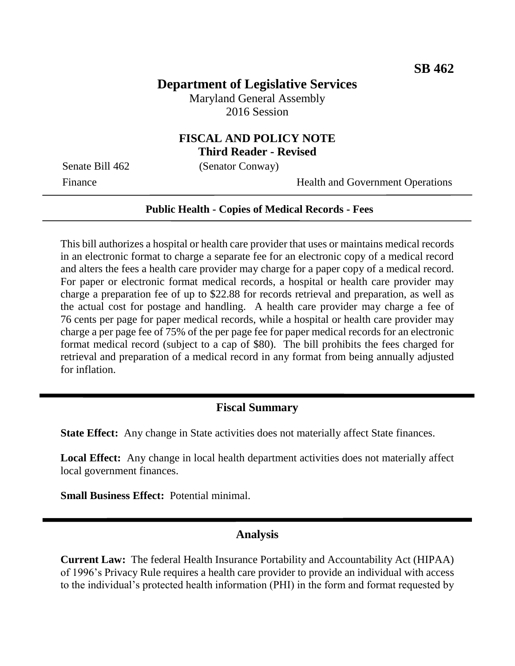# **Department of Legislative Services**

Maryland General Assembly 2016 Session

## **FISCAL AND POLICY NOTE Third Reader - Revised**

Senate Bill 462 (Senator Conway)

Finance Health and Government Operations

#### **Public Health - Copies of Medical Records - Fees**

This bill authorizes a hospital or health care provider that uses or maintains medical records in an electronic format to charge a separate fee for an electronic copy of a medical record and alters the fees a health care provider may charge for a paper copy of a medical record. For paper or electronic format medical records, a hospital or health care provider may charge a preparation fee of up to \$22.88 for records retrieval and preparation, as well as the actual cost for postage and handling. A health care provider may charge a fee of 76 cents per page for paper medical records, while a hospital or health care provider may charge a per page fee of 75% of the per page fee for paper medical records for an electronic format medical record (subject to a cap of \$80). The bill prohibits the fees charged for retrieval and preparation of a medical record in any format from being annually adjusted for inflation.

### **Fiscal Summary**

**State Effect:** Any change in State activities does not materially affect State finances.

**Local Effect:** Any change in local health department activities does not materially affect local government finances.

**Small Business Effect:** Potential minimal.

#### **Analysis**

**Current Law:** The federal Health Insurance Portability and Accountability Act (HIPAA) of 1996's Privacy Rule requires a health care provider to provide an individual with access to the individual's protected health information (PHI) in the form and format requested by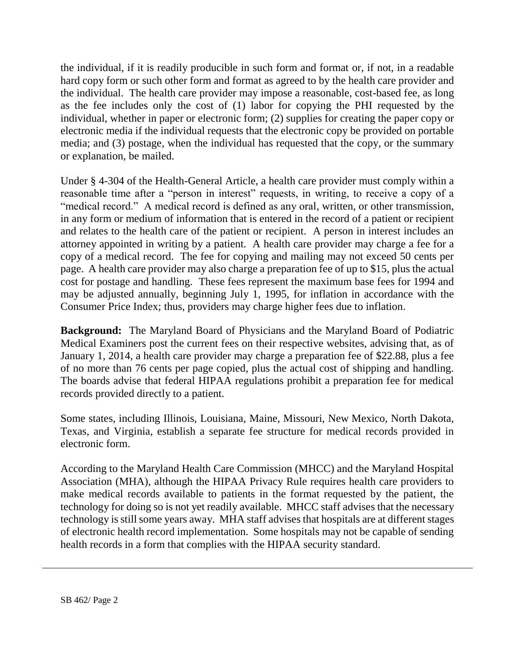the individual, if it is readily producible in such form and format or, if not, in a readable hard copy form or such other form and format as agreed to by the health care provider and the individual. The health care provider may impose a reasonable, cost-based fee, as long as the fee includes only the cost of (1) labor for copying the PHI requested by the individual, whether in paper or electronic form; (2) supplies for creating the paper copy or electronic media if the individual requests that the electronic copy be provided on portable media; and (3) postage, when the individual has requested that the copy, or the summary or explanation, be mailed.

Under § 4-304 of the Health-General Article, a health care provider must comply within a reasonable time after a "person in interest" requests, in writing, to receive a copy of a "medical record." A medical record is defined as any oral, written, or other transmission, in any form or medium of information that is entered in the record of a patient or recipient and relates to the health care of the patient or recipient. A person in interest includes an attorney appointed in writing by a patient. A health care provider may charge a fee for a copy of a medical record. The fee for copying and mailing may not exceed 50 cents per page. A health care provider may also charge a preparation fee of up to \$15, plus the actual cost for postage and handling. These fees represent the maximum base fees for 1994 and may be adjusted annually, beginning July 1, 1995, for inflation in accordance with the Consumer Price Index; thus, providers may charge higher fees due to inflation.

**Background:** The Maryland Board of Physicians and the Maryland Board of Podiatric Medical Examiners post the current fees on their respective websites, advising that, as of January 1, 2014, a health care provider may charge a preparation fee of \$22.88, plus a fee of no more than 76 cents per page copied, plus the actual cost of shipping and handling. The boards advise that federal HIPAA regulations prohibit a preparation fee for medical records provided directly to a patient.

Some states, including Illinois, Louisiana, Maine, Missouri, New Mexico, North Dakota, Texas, and Virginia, establish a separate fee structure for medical records provided in electronic form.

According to the Maryland Health Care Commission (MHCC) and the Maryland Hospital Association (MHA), although the HIPAA Privacy Rule requires health care providers to make medical records available to patients in the format requested by the patient, the technology for doing so is not yet readily available. MHCC staff advises that the necessary technology is still some years away. MHA staff advises that hospitals are at different stages of electronic health record implementation. Some hospitals may not be capable of sending health records in a form that complies with the HIPAA security standard.